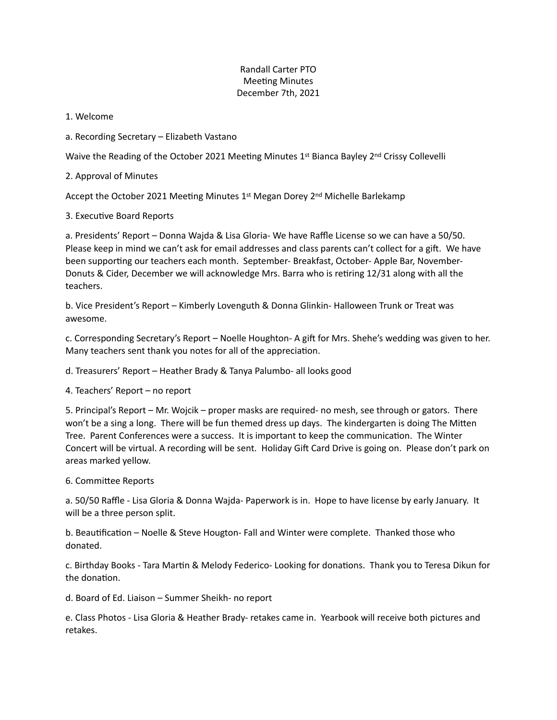## Randall Carter PTO **Meeting Minutes** December 7th, 2021

1. Welcome

a. Recording Secretary – Elizabeth Vastano

Waive the Reading of the October 2021 Meeting Minutes 1st Bianca Bayley 2<sup>nd</sup> Crissy Collevelli

2. Approval of Minutes

Accept the October 2021 Meeting Minutes  $1<sup>st</sup>$  Megan Dorey 2<sup>nd</sup> Michelle Barlekamp

3. Executive Board Reports

a. Presidents' Report – Donna Wajda & Lisa Gloria- We have Raffle License so we can have a 50/50. Please keep in mind we can't ask for email addresses and class parents can't collect for a gift. We have been supporting our teachers each month. September- Breakfast, October- Apple Bar, November-Donuts & Cider, December we will acknowledge Mrs. Barra who is retiring 12/31 along with all the teachers.

b. Vice President's Report – Kimberly Lovenguth & Donna Glinkin- Halloween Trunk or Treat was awesome.

c. Corresponding Secretary's Report – Noelle Houghton-A gift for Mrs. Shehe's wedding was given to her. Many teachers sent thank you notes for all of the appreciation.

d. Treasurers' Report – Heather Brady & Tanya Palumbo- all looks good

4. Teachers' Report – no report

5. Principal's Report – Mr. Wojcik – proper masks are required- no mesh, see through or gators. There won't be a sing a long. There will be fun themed dress up days. The kindergarten is doing The Mitten Tree. Parent Conferences were a success. It is important to keep the communication. The Winter Concert will be virtual. A recording will be sent. Holiday Gift Card Drive is going on. Please don't park on areas marked yellow.

6. Committee Reports

a. 50/50 Raffle - Lisa Gloria & Donna Wajda- Paperwork is in. Hope to have license by early January. It will be a three person split.

b. Beautification – Noelle & Steve Hougton- Fall and Winter were complete. Thanked those who donated.

c. Birthday Books - Tara Martin & Melody Federico- Looking for donations. Thank you to Teresa Dikun for the donation.

d. Board of Ed. Liaison – Summer Sheikh- no report

e. Class Photos - Lisa Gloria & Heather Brady- retakes came in. Yearbook will receive both pictures and retakes.